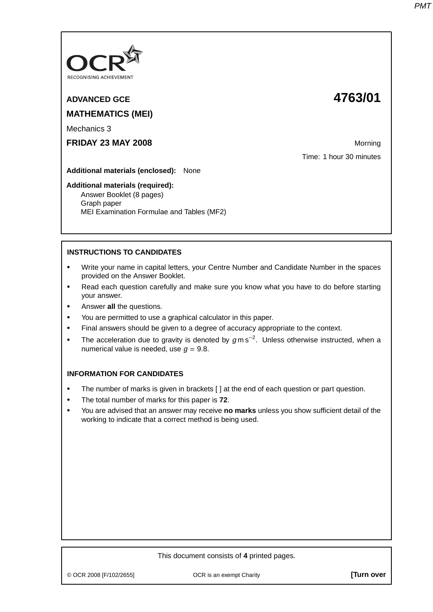

# **ADVANCED GCE 4763/01 MATHEMATICS (MEI)**

Mechanics 3

**FRIDAY 23 MAY 2008** Morning Manual Morning Morning Morning

Time: 1 hour 30 minutes

**Additional materials (enclosed):** None

#### **Additional materials (required):**

Answer Booklet (8 pages) Graph paper MEI Examination Formulae and Tables (MF2)

# **INSTRUCTIONS TO CANDIDATES**

- **•** Write your name in capital letters, your Centre Number and Candidate Number in the spaces provided on the Answer Booklet.
- **•** Read each question carefully and make sure you know what you have to do before starting your answer.
- **•** Answer **all** the questions.
- **•** You are permitted to use a graphical calculator in this paper.
- **•** Final answers should be given to a degree of accuracy appropriate to the context.
- **•** The acceleration due to gravity is denoted by <sup>g</sup> m s−<sup>2</sup> . Unless otherwise instructed, when a numerical value is needed, use  $q = 9.8$ .

### **INFORMATION FOR CANDIDATES**

- The number of marks is given in brackets [] at the end of each question or part question.
- **•** The total number of marks for this paper is **72**.
- **•** You are advised that an answer may receive **no marks** unless you show sufficient detail of the working to indicate that a correct method is being used.

© OCR 2008 [F/102/2655] OCR is an exempt Charity **[Turn over**

This document consists of **4** printed pages.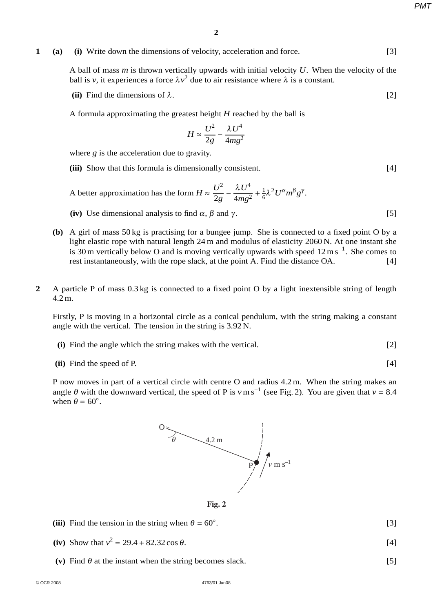*PMT*

# **1** (a) (i) Write down the dimensions of velocity, acceleration and force. [3]

A ball of mass *m* is thrown vertically upwards with initial velocity *U*. When the velocity of the ball is *v*, it experiences a force  $\lambda v^2$  due to air resistance where  $\lambda$  is a constant.

- **(ii)** Find the dimensions of  $\lambda$ . [2]
- A formula approximating the greatest height *H* reached by the ball is

$$
H \approx \frac{U^2}{2g} - \frac{\lambda U^4}{4mg^2}
$$

where *g* is the acceleration due to gravity.

**(iii)** Show that this formula is dimensionally consistent. [4]

A better approximation has the form  $H \approx \frac{U^2}{2g} - \frac{\lambda U^4}{4mg^2} + \frac{1}{6}\lambda^2 U^{\alpha}m^{\beta}g^{\gamma}$ .

- (iv) Use dimensional analysis to find  $\alpha$ ,  $\beta$  and  $\gamma$ . [5]
- **(b)** A girl of mass 50 kg is practising for a bungee jump. She is connected to a fixed point O by a light elastic rope with natural length 24 m and modulus of elasticity 2060 N. At one instant she is 30 m vertically below O and is moving vertically upwards with speed  $12 \text{ m s}^{-1}$ . She comes to rest instantaneously, with the rope slack, at the point A. Find the distance OA. [4]
- **2** A particle P of mass 0.3 kg is connected to a fixed point O by a light inextensible string of length 4.2 m.

Firstly, P is moving in a horizontal circle as a conical pendulum, with the string making a constant angle with the vertical. The tension in the string is 3.92 N.

- **(i)** Find the angle which the string makes with the vertical. [2]
- **(ii)** Find the speed of P. [4]

P now moves in part of a vertical circle with centre O and radius 4.2 m. When the string makes an angle  $\theta$  with the downward vertical, the speed of P is  $v \text{ m s}^{-1}$  (see Fig. 2). You are given that  $v = 8.4$ when  $\theta = 60^\circ$ .



**Fig. 2**

- (iii) Find the tension in the string when  $\theta = 60^\circ$ . .  $[3]$
- (iv) Show that  $v^2 = 29.4 + 82.32 \cos \theta$ . [4]
- (v) Find  $\theta$  at the instant when the string becomes slack. [5]

- 
-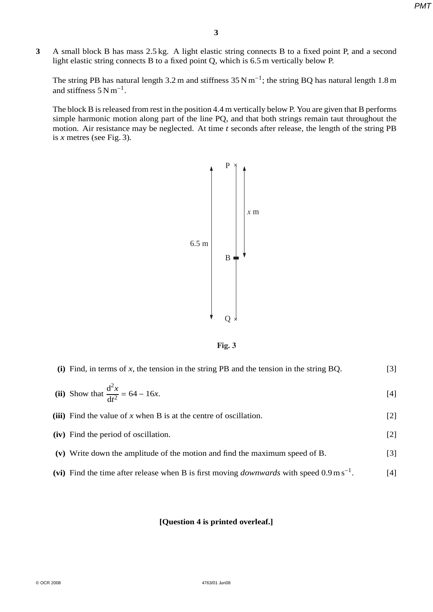*PMT*

**3** A small block B has mass 2.5 kg. A light elastic string connects B to a fixed point P, and a second light elastic string connects B to a fixed point Q, which is 6.5 m vertically below P.

The string PB has natural length 3.2 m and stiffness  $35 \text{ N m}^{-1}$ ; the string BQ has natural length 1.8 m and stiffness  $5 N m^{-1}$ .

The block B is released from rest in the position 4.4 m vertically below P. You are given that B performs simple harmonic motion along part of the line PQ, and that both strings remain taut throughout the motion. Air resistance may be neglected. At time *t* seconds after release, the length of the string PB is  $x$  metres (see Fig. 3).





| (i) Find, in terms of $x$ , the tension in the string PB and the tension in the string BQ.                   | $[3]$ |
|--------------------------------------------------------------------------------------------------------------|-------|
| (ii) Show that $\frac{d^2x}{dt^2} = 64 - 16x$ .                                                              | $[4]$ |
| (iii) Find the value of x when B is at the centre of oscillation.                                            | $[2]$ |
| (iv) Find the period of oscillation.                                                                         | $[2]$ |
| (v) Write down the amplitude of the motion and find the maximum speed of B.                                  | $[3]$ |
| (vi) Find the time after release when B is first moving <i>downwards</i> with speed $0.9 \text{ m s}^{-1}$ . | [4]   |

#### **[Question 4 is printed overleaf.]**